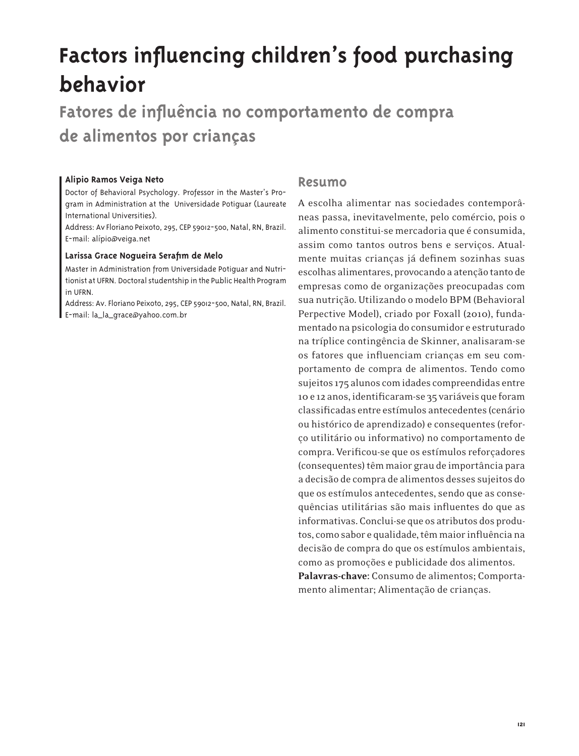# **Factors influencing children's food purchasing behavior**

## **Fatores de influência no comportamento de compra de alimentos por crianças**

#### **Alipio Ramos Veiga Neto**

Doctor of Behavioral Psychology. Professor in the Master's Program in Administration at the Universidade Potiguar (Laureate International Universities).

Address: Av Floriano Peixoto, 295, CEP 59012-500, Natal, RN, Brazil. E-mail: alípio@veiga.net

#### **Larissa Grace Nogueira Serafim de Melo**

Master in Administration from Universidade Potiguar and Nutritionist at UFRN. Doctoral studentship in the Public Health Program in UFRN.

Address: Av. Floriano Peixoto, 295, CEP 59012-500, Natal, RN, Brazil. E-mail: la\_la\_grace@yahoo.com.br

#### **Resumo**

A escolha alimentar nas sociedades contemporâneas passa, inevitavelmente, pelo comércio, pois o alimento constitui-se mercadoria que é consumida, assim como tantos outros bens e serviços. Atualmente muitas crianças já definem sozinhas suas escolhas alimentares, provocando a atenção tanto de empresas como de organizações preocupadas com sua nutrição. Utilizando o modelo BPM (Behavioral Perpective Model), criado por Foxall (2010), fundamentado na psicologia do consumidor e estruturado na tríplice contingência de Skinner, analisaram-se os fatores que influenciam crianças em seu comportamento de compra de alimentos. Tendo como sujeitos 175 alunos com idades compreendidas entre 10 e 12 anos, identificaram-se 35 variáveis que foram classificadas entre estímulos antecedentes (cenário ou histórico de aprendizado) e consequentes (reforço utilitário ou informativo) no comportamento de compra. Verificou-se que os estímulos reforçadores (consequentes) têm maior grau de importância para a decisão de compra de alimentos desses sujeitos do que os estímulos antecedentes, sendo que as consequências utilitárias são mais influentes do que as informativas. Conclui-se que os atributos dos produtos, como sabor e qualidade, têm maior influência na decisão de compra do que os estímulos ambientais, como as promoções e publicidade dos alimentos. Palavras-chave: Consumo de alimentos; Comporta-

mento alimentar; Alimentação de crianças.

**121**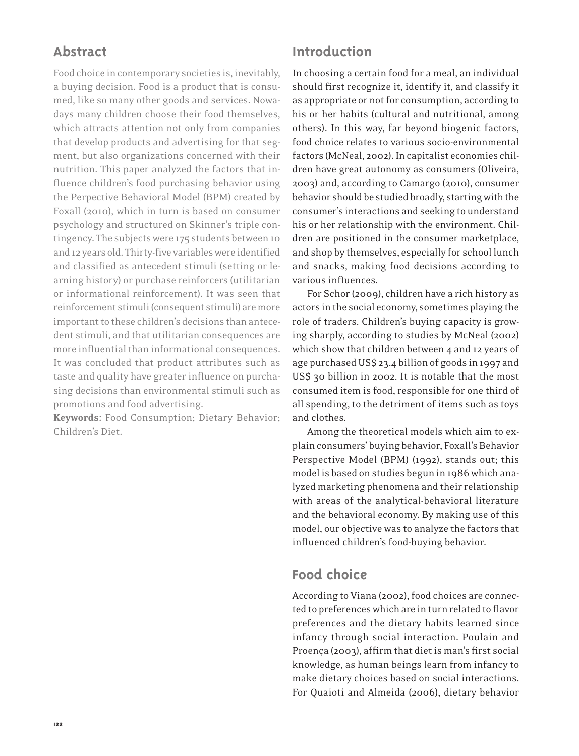### **Abstract**

Food choice in contemporary societies is, inevitably, a buying decision. Food is a product that is consumed, like so many other goods and services. Nowadays many children choose their food themselves, which attracts attention not only from companies that develop products and advertising for that segment, but also organizations concerned with their nutrition. This paper analyzed the factors that influence children's food purchasing behavior using the Perpective Behavioral Model (BPM) created by Foxall (2010), which in turn is based on consumer psychology and structured on Skinner's triple contingency. The subjects were 175 students between 10 and 12 years old. Thirty-five variables were identified and classified as antecedent stimuli (setting or learning history) or purchase reinforcers (utilitarian or informational reinforcement). It was seen that reinforcement stimuli (consequent stimuli) are more important to these children's decisions than antecedent stimuli, and that utilitarian consequences are more influential than informational consequences. It was concluded that product attributes such as taste and quality have greater influence on purchasing decisions than environmental stimuli such as promotions and food advertising.

Keywords: Food Consumption; Dietary Behavior; Children's Diet.

### **Introduction**

In choosing a certain food for a meal, an individual should first recognize it, identify it, and classify it as appropriate or not for consumption, according to his or her habits (cultural and nutritional, among others). In this way, far beyond biogenic factors, food choice relates to various socio-environmental factors (McNeal, 2002). In capitalist economies children have great autonomy as consumers (Oliveira, 2003) and, according to Camargo (2010), consumer behavior should be studied broadly, starting with the consumer's interactions and seeking to understand his or her relationship with the environment. Children are positioned in the consumer marketplace, and shop by themselves, especially for school lunch and snacks, making food decisions according to various influences.

For Schor (2009), children have a rich history as actors in the social economy, sometimes playing the role of traders. Children's buying capacity is growing sharply, according to studies by McNeal (2002) which show that children between 4 and 12 years of age purchased US\$ 23.4 billion of goods in 1997 and US\$ 30 billion in 2002. It is notable that the most consumed item is food, responsible for one third of all spending, to the detriment of items such as toys and clothes.

Among the theoretical models which aim to explain consumers' buying behavior, Foxall's Behavior Perspective Model (BPM) (1992), stands out; this model is based on studies begun in 1986 which analyzed marketing phenomena and their relationship with areas of the analytical-behavioral literature and the behavioral economy. By making use of this model, our objective was to analyze the factors that influenced children's food-buying behavior.

### **Food choice**

According to Viana (2002), food choices are connected to preferences which are in turn related to flavor preferences and the dietary habits learned since infancy through social interaction. Poulain and Proença (2003), affirm that diet is man's first social knowledge, as human beings learn from infancy to make dietary choices based on social interactions. For Quaioti and Almeida (2006), dietary behavior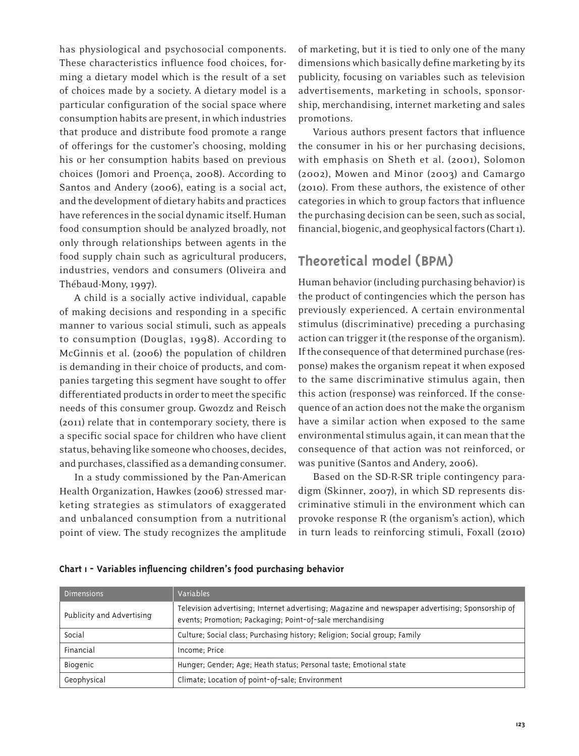has physiological and psychosocial components. These characteristics influence food choices, forming a dietary model which is the result of a set of choices made by a society. A dietary model is a particular configuration of the social space where consumption habits are present, in which industries that produce and distribute food promote a range of offerings for the customer's choosing, molding his or her consumption habits based on previous choices (Jomori and Proença, 2008). According to Santos and Andery (2006), eating is a social act, and the development of dietary habits and practices have references in the social dynamic itself. Human food consumption should be analyzed broadly, not only through relationships between agents in the food supply chain such as agricultural producers, industries, vendors and consumers (Oliveira and Thébaud-Mony, 1997).

A child is a socially active individual, capable of making decisions and responding in a specific manner to various social stimuli, such as appeals to consumption (Douglas, 1998). According to McGinnis et al. (2006) the population of children is demanding in their choice of products, and companies targeting this segment have sought to offer differentiated products in order to meet the specific needs of this consumer group. Gwozdz and Reisch (2011) relate that in contemporary society, there is a specific social space for children who have client status, behaving like someone who chooses, decides, and purchases, classified as a demanding consumer.

In a study commissioned by the Pan-American Health Organization, Hawkes (2006) stressed marketing strategies as stimulators of exaggerated and unbalanced consumption from a nutritional point of view. The study recognizes the amplitude

of marketing, but it is tied to only one of the many dimensions which basically define marketing by its publicity, focusing on variables such as television advertisements, marketing in schools, sponsorship, merchandising, internet marketing and sales promotions.

Various authors present factors that influence the consumer in his or her purchasing decisions, with emphasis on Sheth et al. (2001), Solomon (2002), Mowen and Minor (2003) and Camargo (2010). From these authors, the existence of other categories in which to group factors that influence the purchasing decision can be seen, such as social, financial, biogenic, and geophysical factors (Chart 1).

### **Theoretical model (BPM)**

Human behavior (including purchasing behavior) is the product of contingencies which the person has previously experienced. A certain environmental stimulus (discriminative) preceding a purchasing action can trigger it (the response of the organism). If the consequence of that determined purchase (response) makes the organism repeat it when exposed to the same discriminative stimulus again, then this action (response) was reinforced. If the consequence of an action does not the make the organism have a similar action when exposed to the same environmental stimulus again, it can mean that the consequence of that action was not reinforced, or was punitive (Santos and Andery, 2006).

Based on the SD-R-SR triple contingency paradigm (Skinner, 2007), in which SD represents discriminative stimuli in the environment which can provoke response R (the organism's action), which in turn leads to reinforcing stimuli, Foxall (2010)

| <b>Dimensions</b>         | Variables                                                                                                                                                     |
|---------------------------|---------------------------------------------------------------------------------------------------------------------------------------------------------------|
| Publicity and Advertising | Television advertising; Internet advertising; Magazine and newspaper advertising; Sponsorship of<br>events; Promotion; Packaging; Point-of-sale merchandising |
| Social                    | Culture; Social class; Purchasing history; Religion; Social group; Family                                                                                     |
| Financial                 | Income: Price                                                                                                                                                 |
| Biogenic                  | Hunger; Gender; Age; Heath status; Personal taste; Emotional state                                                                                            |
| Geophysical               | Climate; Location of point-of-sale; Environment                                                                                                               |

**Chart 1 - Variables influencing children's food purchasing behavior**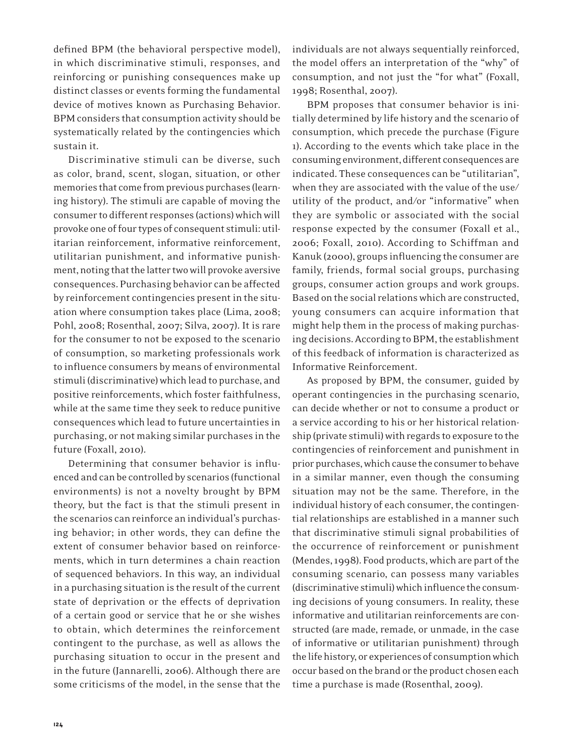defined BPM (the behavioral perspective model), in which discriminative stimuli, responses, and reinforcing or punishing consequences make up distinct classes or events forming the fundamental device of motives known as Purchasing Behavior. BPM considers that consumption activity should be systematically related by the contingencies which sustain it.

Discriminative stimuli can be diverse, such as color, brand, scent, slogan, situation, or other memories that come from previous purchases (learning history). The stimuli are capable of moving the consumer to different responses (actions) which will provoke one of four types of consequent stimuli: utilitarian reinforcement, informative reinforcement, utilitarian punishment, and informative punishment, noting that the latter two will provoke aversive consequences. Purchasing behavior can be affected by reinforcement contingencies present in the situation where consumption takes place (Lima, 2008; Pohl, 2008; Rosenthal, 2007; Silva, 2007). It is rare for the consumer to not be exposed to the scenario of consumption, so marketing professionals work to influence consumers by means of environmental stimuli (discriminative) which lead to purchase, and positive reinforcements, which foster faithfulness, while at the same time they seek to reduce punitive consequences which lead to future uncertainties in purchasing, or not making similar purchases in the future (Foxall, 2010).

Determining that consumer behavior is influenced and can be controlled by scenarios (functional environments) is not a novelty brought by BPM theory, but the fact is that the stimuli present in the scenarios can reinforce an individual's purchasing behavior; in other words, they can define the extent of consumer behavior based on reinforcements, which in turn determines a chain reaction of sequenced behaviors. In this way, an individual in a purchasing situation is the result of the current state of deprivation or the effects of deprivation of a certain good or service that he or she wishes to obtain, which determines the reinforcement contingent to the purchase, as well as allows the purchasing situation to occur in the present and in the future (Jannarelli, 2006). Although there are some criticisms of the model, in the sense that the

individuals are not always sequentially reinforced, the model offers an interpretation of the "why" of consumption, and not just the "for what" (Foxall, 1998; Rosenthal, 2007).

BPM proposes that consumer behavior is initially determined by life history and the scenario of consumption, which precede the purchase (Figure 1). According to the events which take place in the consuming environment, different consequences are indicated. These consequences can be "utilitarian", when they are associated with the value of the use/ utility of the product, and/or "informative" when they are symbolic or associated with the social response expected by the consumer (Foxall et al., 2006; Foxall, 2010). According to Schiffman and Kanuk (2000), groups influencing the consumer are family, friends, formal social groups, purchasing groups, consumer action groups and work groups. Based on the social relations which are constructed, young consumers can acquire information that might help them in the process of making purchasing decisions. According to BPM, the establishment of this feedback of information is characterized as Informative Reinforcement.

As proposed by BPM, the consumer, guided by operant contingencies in the purchasing scenario, can decide whether or not to consume a product or a service according to his or her historical relationship (private stimuli) with regards to exposure to the contingencies of reinforcement and punishment in prior purchases, which cause the consumer to behave in a similar manner, even though the consuming situation may not be the same. Therefore, in the individual history of each consumer, the contingential relationships are established in a manner such that discriminative stimuli signal probabilities of the occurrence of reinforcement or punishment (Mendes, 1998). Food products, which are part of the consuming scenario, can possess many variables (discriminative stimuli) which influence the consuming decisions of young consumers. In reality, these informative and utilitarian reinforcements are constructed (are made, remade, or unmade, in the case of informative or utilitarian punishment) through the life history, or experiences of consumption which occur based on the brand or the product chosen each time a purchase is made (Rosenthal, 2009).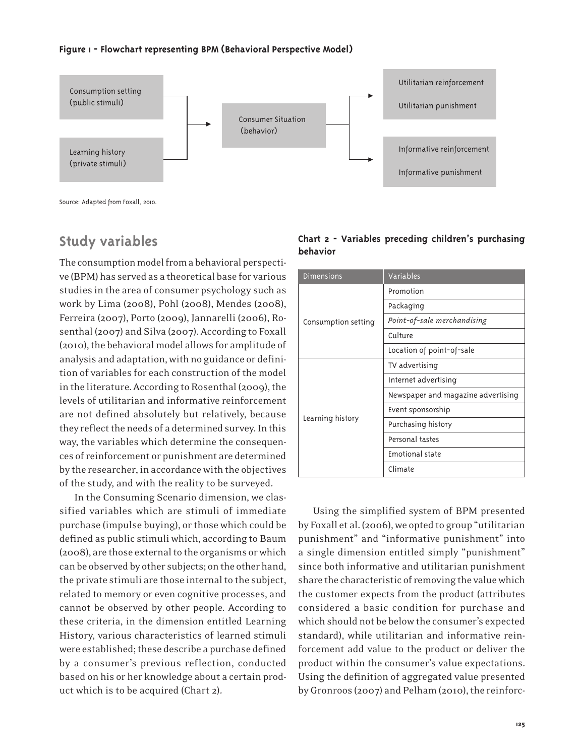#### **Figure 1 - Flowchart representing BPM (Behavioral Perspective Model)**



Source: Adapted from Foxall, 2010.

### **Study variables**

The consumption model from a behavioral perspective (BPM) has served as a theoretical base for various studies in the area of consumer psychology such as work by Lima (2008), Pohl (2008), Mendes (2008), Ferreira (2007), Porto (2009), Jannarelli (2006), Rosenthal (2007) and Silva (2007). According to Foxall (2010), the behavioral model allows for amplitude of analysis and adaptation, with no guidance or definition of variables for each construction of the model in the literature. According to Rosenthal (2009), the levels of utilitarian and informative reinforcement are not defined absolutely but relatively, because they reflect the needs of a determined survey. In this way, the variables which determine the consequences of reinforcement or punishment are determined by the researcher, in accordance with the objectives of the study, and with the reality to be surveyed.

In the Consuming Scenario dimension, we classified variables which are stimuli of immediate purchase (impulse buying), or those which could be defined as public stimuli which, according to Baum (2008), are those external to the organisms or which can be observed by other subjects; on the other hand, the private stimuli are those internal to the subject, related to memory or even cognitive processes, and cannot be observed by other people. According to these criteria, in the dimension entitled Learning History, various characteristics of learned stimuli were established; these describe a purchase defined by a consumer's previous reflection, conducted based on his or her knowledge about a certain product which is to be acquired (Chart 2).

| <b>Dimensions</b>   | Variables                          |  |  |
|---------------------|------------------------------------|--|--|
|                     | Promotion                          |  |  |
| Consumption setting | Packaging                          |  |  |
|                     | Point-of-sale merchandising        |  |  |
|                     | Culture                            |  |  |
|                     | Location of point-of-sale          |  |  |
| Learning history    | TV advertising                     |  |  |
|                     | Internet advertising               |  |  |
|                     | Newspaper and magazine advertising |  |  |
|                     | Event sponsorship                  |  |  |
|                     | Purchasing history                 |  |  |
|                     | Personal tastes                    |  |  |
|                     | <b>Emotional state</b>             |  |  |
|                     | Climate                            |  |  |

**Chart 2 - Variables preceding children's purchasing behavior**

Using the simplified system of BPM presented by Foxall et al. (2006), we opted to group "utilitarian punishment" and "informative punishment" into a single dimension entitled simply "punishment" since both informative and utilitarian punishment share the characteristic of removing the value which the customer expects from the product (attributes considered a basic condition for purchase and which should not be below the consumer's expected standard), while utilitarian and informative reinforcement add value to the product or deliver the product within the consumer's value expectations. Using the definition of aggregated value presented by Gronroos (2007) and Pelham (2010), the reinforc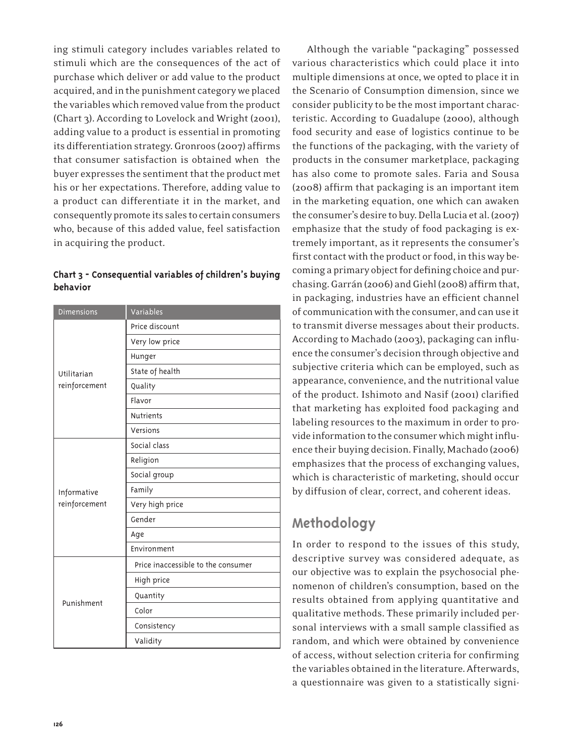ing stimuli category includes variables related to stimuli which are the consequences of the act of purchase which deliver or add value to the product acquired, and in the punishment category we placed the variables which removed value from the product (Chart 3). According to Lovelock and Wright (2001), adding value to a product is essential in promoting its differentiation strategy. Gronroos (2007) affirms that consumer satisfaction is obtained when the buyer expresses the sentiment that the product met his or her expectations. Therefore, adding value to a product can differentiate it in the market, and consequently promote its sales to certain consumers who, because of this added value, feel satisfaction in acquiring the product.

#### **Chart 3 - Consequential variables of children's buying behavior**

| Dimensions    | Variables                          |  |  |  |  |
|---------------|------------------------------------|--|--|--|--|
|               | Price discount                     |  |  |  |  |
|               | Very low price                     |  |  |  |  |
|               | Hunger                             |  |  |  |  |
| Utilitarian   | State of health                    |  |  |  |  |
| reinforcement | Quality                            |  |  |  |  |
|               | Flavor                             |  |  |  |  |
|               | <b>Nutrients</b>                   |  |  |  |  |
|               | Versions                           |  |  |  |  |
|               | Social class                       |  |  |  |  |
|               | Religion                           |  |  |  |  |
|               | Social group                       |  |  |  |  |
| Informative   | Family                             |  |  |  |  |
| reinforcement | Very high price                    |  |  |  |  |
|               | Gender                             |  |  |  |  |
|               | Age                                |  |  |  |  |
|               | Environment                        |  |  |  |  |
|               | Price inaccessible to the consumer |  |  |  |  |
|               | High price                         |  |  |  |  |
|               | Quantity                           |  |  |  |  |
| Punishment    | Color                              |  |  |  |  |
|               | Consistency                        |  |  |  |  |
|               | Validity                           |  |  |  |  |

Although the variable "packaging" possessed various characteristics which could place it into multiple dimensions at once, we opted to place it in the Scenario of Consumption dimension, since we consider publicity to be the most important characteristic. According to Guadalupe (2000), although food security and ease of logistics continue to be the functions of the packaging, with the variety of products in the consumer marketplace, packaging has also come to promote sales. Faria and Sousa (2008) affirm that packaging is an important item in the marketing equation, one which can awaken the consumer's desire to buy. Della Lucia et al. (2007) emphasize that the study of food packaging is extremely important, as it represents the consumer's first contact with the product or food, in this way becoming a primary object for defining choice and purchasing. Garrán (2006) and Giehl (2008) affirm that, in packaging, industries have an efficient channel of communication with the consumer, and can use it to transmit diverse messages about their products. According to Machado (2003), packaging can influence the consumer's decision through objective and subjective criteria which can be employed, such as appearance, convenience, and the nutritional value of the product. Ishimoto and Nasif (2001) clarified that marketing has exploited food packaging and labeling resources to the maximum in order to provide information to the consumer which might influence their buying decision. Finally, Machado (2006) emphasizes that the process of exchanging values, which is characteristic of marketing, should occur by diffusion of clear, correct, and coherent ideas.

### **Methodology**

In order to respond to the issues of this study, descriptive survey was considered adequate, as our objective was to explain the psychosocial phenomenon of children's consumption, based on the results obtained from applying quantitative and qualitative methods. These primarily included personal interviews with a small sample classified as random, and which were obtained by convenience of access, without selection criteria for confirming the variables obtained in the literature. Afterwards, a questionnaire was given to a statistically signi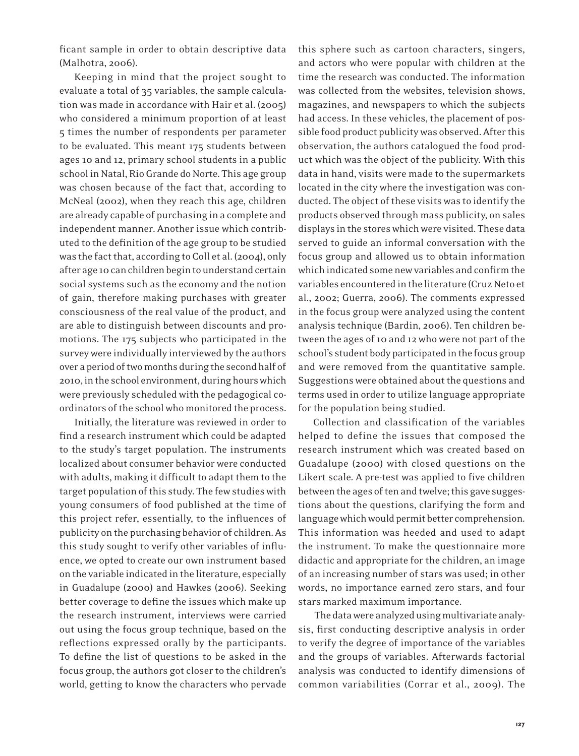ficant sample in order to obtain descriptive data (Malhotra, 2006).

Keeping in mind that the project sought to evaluate a total of 35 variables, the sample calculation was made in accordance with Hair et al. (2005) who considered a minimum proportion of at least 5 times the number of respondents per parameter to be evaluated. This meant 175 students between ages 10 and 12, primary school students in a public school in Natal, Rio Grande do Norte. This age group was chosen because of the fact that, according to McNeal (2002), when they reach this age, children are already capable of purchasing in a complete and independent manner. Another issue which contributed to the definition of the age group to be studied was the fact that, according to Coll et al. (2004), only after age 10 can children begin to understand certain social systems such as the economy and the notion of gain, therefore making purchases with greater consciousness of the real value of the product, and are able to distinguish between discounts and promotions. The 175 subjects who participated in the survey were individually interviewed by the authors over a period of two months during the second half of 2010, in the school environment, during hours which were previously scheduled with the pedagogical coordinators of the school who monitored the process.

Initially, the literature was reviewed in order to find a research instrument which could be adapted to the study's target population. The instruments localized about consumer behavior were conducted with adults, making it difficult to adapt them to the target population of this study. The few studies with young consumers of food published at the time of this project refer, essentially, to the influences of publicity on the purchasing behavior of children. As this study sought to verify other variables of influence, we opted to create our own instrument based on the variable indicated in the literature, especially in Guadalupe (2000) and Hawkes (2006). Seeking better coverage to define the issues which make up the research instrument, interviews were carried out using the focus group technique, based on the reflections expressed orally by the participants. To define the list of questions to be asked in the focus group, the authors got closer to the children's world, getting to know the characters who pervade this sphere such as cartoon characters, singers, and actors who were popular with children at the time the research was conducted. The information was collected from the websites, television shows, magazines, and newspapers to which the subjects had access. In these vehicles, the placement of possible food product publicity was observed. After this observation, the authors catalogued the food product which was the object of the publicity. With this data in hand, visits were made to the supermarkets located in the city where the investigation was conducted. The object of these visits was to identify the products observed through mass publicity, on sales displays in the stores which were visited. These data served to guide an informal conversation with the focus group and allowed us to obtain information which indicated some new variables and confirm the variables encountered in the literature (Cruz Neto et al., 2002; Guerra, 2006). The comments expressed in the focus group were analyzed using the content analysis technique (Bardin, 2006). Ten children between the ages of 10 and 12 who were not part of the school's student body participated in the focus group and were removed from the quantitative sample. Suggestions were obtained about the questions and terms used in order to utilize language appropriate for the population being studied.

Collection and classification of the variables helped to define the issues that composed the research instrument which was created based on Guadalupe (2000) with closed questions on the Likert scale. A pre-test was applied to five children between the ages of ten and twelve; this gave suggestions about the questions, clarifying the form and language which would permit better comprehension. This information was heeded and used to adapt the instrument. To make the questionnaire more didactic and appropriate for the children, an image of an increasing number of stars was used; in other words, no importance earned zero stars, and four stars marked maximum importance.

 The data were analyzed using multivariate analysis, first conducting descriptive analysis in order to verify the degree of importance of the variables and the groups of variables. Afterwards factorial analysis was conducted to identify dimensions of common variabilities (Corrar et al., 2009). The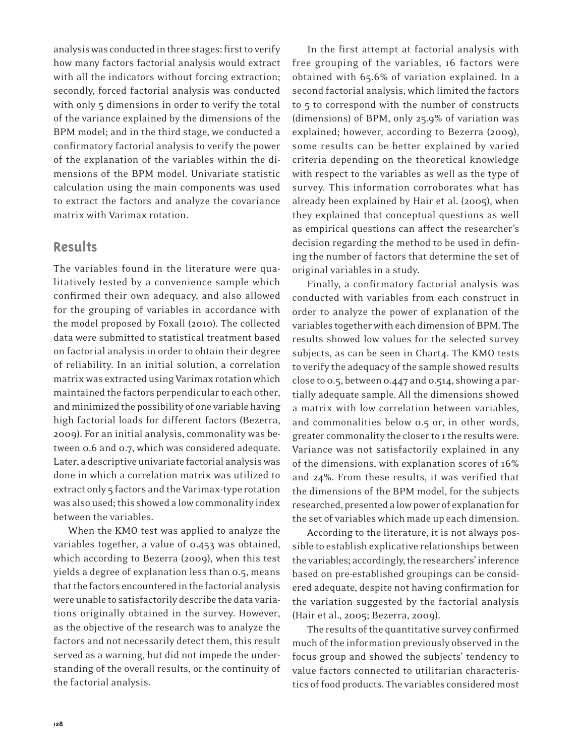analysis was conducted in three stages: first to verify how many factors factorial analysis would extract with all the indicators without forcing extraction; secondly, forced factorial analysis was conducted with only 5 dimensions in order to verify the total of the variance explained by the dimensions of the BPM model; and in the third stage, we conducted a confirmatory factorial analysis to verify the power of the explanation of the variables within the dimensions of the BPM model. Univariate statistic calculation using the main components was used to extract the factors and analyze the covariance matrix with Varimax rotation.

### **Results**

The variables found in the literature were qualitatively tested by a convenience sample which confirmed their own adequacy, and also allowed for the grouping of variables in accordance with the model proposed by Foxall (2010). The collected data were submitted to statistical treatment based on factorial analysis in order to obtain their degree of reliability. In an initial solution, a correlation matrix was extracted using Varimax rotation which maintained the factors perpendicular to each other, and minimized the possibility of one variable having high factorial loads for different factors (Bezerra, 2009). For an initial analysis, commonality was between 0.6 and 0.7, which was considered adequate. Later, a descriptive univariate factorial analysis was done in which a correlation matrix was utilized to extract only 5 factors and the Varimax-type rotation was also used; this showed a low commonality index between the variables.

When the KMO test was applied to analyze the variables together, a value of 0.453 was obtained, which according to Bezerra (2009), when this test yields a degree of explanation less than 0.5, means that the factors encountered in the factorial analysis were unable to satisfactorily describe the data variations originally obtained in the survey. However, as the objective of the research was to analyze the factors and not necessarily detect them, this result served as a warning, but did not impede the understanding of the overall results, or the continuity of the factorial analysis.

In the first attempt at factorial analysis with free grouping of the variables, 16 factors were obtained with 65.6% of variation explained. In a second factorial analysis, which limited the factors to 5 to correspond with the number of constructs (dimensions) of BPM, only 25.9% of variation was explained; however, according to Bezerra (2009), some results can be better explained by varied criteria depending on the theoretical knowledge with respect to the variables as well as the type of survey. This information corroborates what has already been explained by Hair et al. (2005), when they explained that conceptual questions as well as empirical questions can affect the researcher's decision regarding the method to be used in defining the number of factors that determine the set of original variables in a study.

Finally, a confirmatory factorial analysis was conducted with variables from each construct in order to analyze the power of explanation of the variables together with each dimension of BPM. The results showed low values for the selected survey subjects, as can be seen in Chart4. The KMO tests to verify the adequacy of the sample showed results close to 0.5, between 0.447 and 0.514, showing a partially adequate sample. All the dimensions showed a matrix with low correlation between variables, and commonalities below 0.5 or, in other words, greater commonality the closer to 1 the results were. Variance was not satisfactorily explained in any of the dimensions, with explanation scores of 16% and 24%. From these results, it was verified that the dimensions of the BPM model, for the subjects researched, presented a low power of explanation for the set of variables which made up each dimension.

According to the literature, it is not always possible to establish explicative relationships between the variables; accordingly, the researchers' inference based on pre-established groupings can be considered adequate, despite not having confirmation for the variation suggested by the factorial analysis (Hair et al., 2005; Bezerra, 2009).

The results of the quantitative survey confirmed much of the information previously observed in the focus group and showed the subjects' tendency to value factors connected to utilitarian characteristics of food products. The variables considered most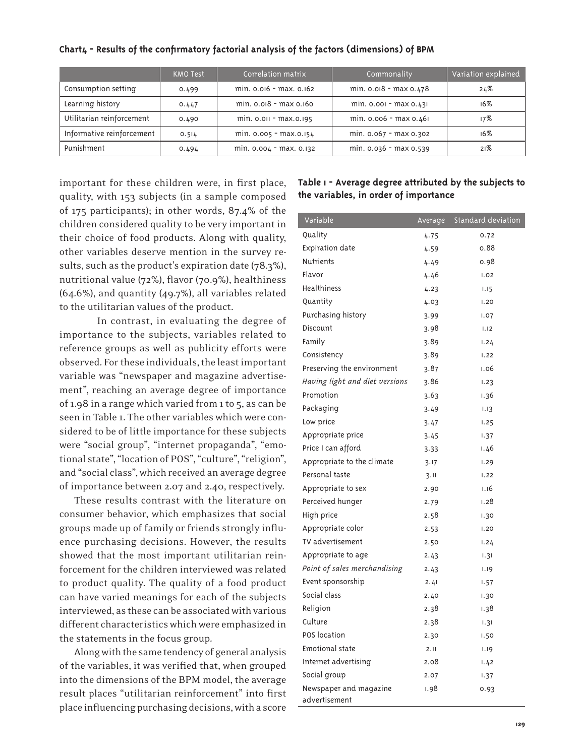|                           | <b>KMO Test</b> | Correlation matrix              | <b>Commonality</b>               | Variation explained |
|---------------------------|-----------------|---------------------------------|----------------------------------|---------------------|
| Consumption setting       | 0.499           | $min. 0.016 - max. 0.162$       | min. $0.018 - \text{max } 0.478$ | 24%                 |
| Learning history          | 0.447           | min. 0.018 - max 0.160          | $min. 0.001 - max 0.431$         | 16%                 |
| Utilitarian reinforcement | 0.490           | $min. 0.011 - max.0.195$        | min. 0.006 - max 0.46            | 17%                 |
| Informative reinforcement | 0.514           | min. $0.005 - \text{max}.0.154$ | min. 0.067 - max 0.302           | $16\%$              |
| Punishment                | 0.494           | min. 0.004 - max. 0.132         | min. 0.036 - max 0.539           | 21%                 |

#### **Chart4 - Results of the confirmatory factorial analysis of the factors (dimensions) of BPM**

important for these children were, in first place, quality, with 153 subjects (in a sample composed of 175 participants); in other words, 87.4% of the children considered quality to be very important in their choice of food products. Along with quality, other variables deserve mention in the survey results, such as the product's expiration date (78.3%), nutritional value (72%), flavor (70.9%), healthiness (64.6%), and quantity (49.7%), all variables related to the utilitarian values of the product.

In contrast, in evaluating the degree of importance to the subjects, variables related to reference groups as well as publicity efforts were observed. For these individuals, the least important variable was "newspaper and magazine advertisement", reaching an average degree of importance of 1.98 in a range which varied from 1 to 5, as can be seen in Table 1. The other variables which were considered to be of little importance for these subjects were "social group", "internet propaganda", "emotional state", "location of POS", "culture", "religion", and "social class", which received an average degree of importance between 2.07 and 2.40, respectively.

These results contrast with the literature on consumer behavior, which emphasizes that social groups made up of family or friends strongly influence purchasing decisions. However, the results showed that the most important utilitarian reinforcement for the children interviewed was related to product quality. The quality of a food product can have varied meanings for each of the subjects interviewed, as these can be associated with various different characteristics which were emphasized in the statements in the focus group.

Along with the same tendency of general analysis of the variables, it was verified that, when grouped into the dimensions of the BPM model, the average result places "utilitarian reinforcement" into first place influencing purchasing decisions, with a score

#### **Table 1 - Average degree attributed by the subjects to the variables, in order of importance**

| Variable                                | Average | Standard deviation |
|-----------------------------------------|---------|--------------------|
| Quality                                 | 4.75    | 0.72               |
| <b>Expiration</b> date                  | 4.59    | 0.88               |
| <b>Nutrients</b>                        | 4.49    | 0.98               |
| Flavor                                  | 4.46    | 1.02               |
| Healthiness                             | 4.23    | 1.15               |
| Quantity                                | 4.03    | 1.20               |
| Purchasing history                      | 3.99    | 1.07               |
| Discount                                | 3.98    | 1.12               |
| Family                                  | 3.89    | 1.24               |
| Consistency                             | 3.89    | 1.22               |
| Preserving the environment              | 3.87    | 1.06               |
| Having light and diet versions          | 3.86    | 1.23               |
| Promotion                               | 3.63    | 1.36               |
| Packaging                               | 3.49    | 1.13               |
| Low price                               | 3.47    | 1.25               |
| Appropriate price                       | 3.45    | 1.37               |
| Price I can afford                      | 3.33    | 1.46               |
| Appropriate to the climate              | 3.17    | 1.29               |
| Personal taste                          | 3.11    | 1.22               |
| Appropriate to sex                      | 2.90    | 1.16               |
| Perceived hunger                        | 2.79    | 1.28               |
| High price                              | 2.58    | 1.30               |
| Appropriate color                       | 2.53    | 1.20               |
| TV advertisement                        | 2.50    | 1.24               |
| Appropriate to age                      | 2.43    | 1.31               |
| Point of sales merchandising            | 2.43    | 1.19               |
| Event sponsorship                       | 2.41    | 1.57               |
| Social class                            | 2.40    | 1.30               |
| Religion                                | 2.38    | 1.38               |
| Culture                                 | 2.38    | 1.31               |
| POS location                            | 2.30    | 1.50               |
| <b>Emotional state</b>                  | 2.11    | 1.19               |
| Internet advertising                    | 2.08    | 1.42               |
| Social group                            | 2.07    | 1.37               |
| Newspaper and magazine<br>advertisement | 1.98    | 0.93               |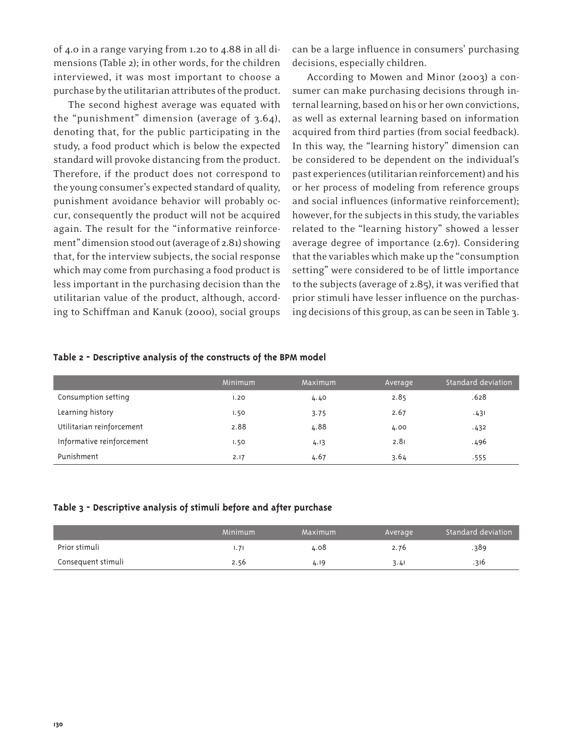of 4.0 in a range varying from 1.20 to 4.88 in all dimensions (Table 2); in other words, for the children interviewed, it was most important to choose a purchase by the utilitarian attributes of the product.

The second highest average was equated with the "punishment" dimension (average of 3.64), denoting that, for the public participating in the study, a food product which is below the expected standard will provoke distancing from the product. Therefore, if the product does not correspond to the young consumer's expected standard of quality, punishment avoidance behavior will probably occur, consequently the product will not be acquired again. The result for the "informative reinforcement" dimension stood out (average of 2.81) showing that, for the interview subjects, the social response which may come from purchasing a food product is less important in the purchasing decision than the utilitarian value of the product, although, according to Schiffman and Kanuk (2000), social groups

can be a large influence in consumers' purchasing decisions, especially children.

According to Mowen and Minor (2003) a consumer can make purchasing decisions through internal learning, based on his or her own convictions, as well as external learning based on information acquired from third parties (from social feedback). In this way, the "learning history" dimension can be considered to be dependent on the individual's past experiences (utilitarian reinforcement) and his or her process of modeling from reference groups and social influences (informative reinforcement); however, for the subjects in this study, the variables related to the "learning history" showed a lesser average degree of importance (2.67). Considering that the variables which make up the "consumption setting" were considered to be of little importance to the subjects (average of 2.85), it was verified that prior stimuli have lesser influence on the purchasing decisions of this group, as can be seen in Table 3.

|                           | Minimum | Maximum | Average | Standard deviation |
|---------------------------|---------|---------|---------|--------------------|
| Consumption setting       | 1.20    | 4.40    | 2.85    | .628               |
| Learning history          | 1.50    | 3.75    | 2.67    | .431               |
| Utilitarian reinforcement | 2.88    | 4.88    | 4.00    | .432               |
| Informative reinforcement | 1.50    | 4.13    | 2.81    | .496               |
| Punishment                | 2.17    | 4.67    | 3.64    | .555               |

#### **Table 2 - Descriptive analysis of the constructs of the BPM model**

#### **Table 3 - Descriptive analysis of stimuli before and after purchase**

|                    | Minimum | Maximum | Average | Standard deviation |
|--------------------|---------|---------|---------|--------------------|
| Prior stimuli      | 1.71    | 4.08    | 2.76    | .389               |
| Conseguent stimuli | 2.56    | 4.19    | 3.41    | .316               |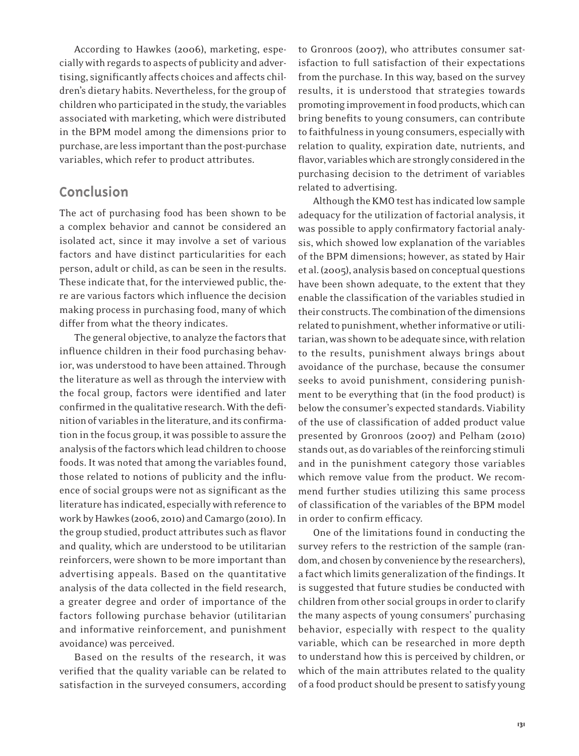According to Hawkes (2006), marketing, especially with regards to aspects of publicity and advertising, significantly affects choices and affects children's dietary habits. Nevertheless, for the group of children who participated in the study, the variables associated with marketing, which were distributed in the BPM model among the dimensions prior to purchase, are less important than the post-purchase variables, which refer to product attributes.

### **Conclusion**

The act of purchasing food has been shown to be a complex behavior and cannot be considered an isolated act, since it may involve a set of various factors and have distinct particularities for each person, adult or child, as can be seen in the results. These indicate that, for the interviewed public, there are various factors which influence the decision making process in purchasing food, many of which differ from what the theory indicates.

The general objective, to analyze the factors that influence children in their food purchasing behavior, was understood to have been attained. Through the literature as well as through the interview with the focal group, factors were identified and later confirmed in the qualitative research. With the definition of variables in the literature, and its confirmation in the focus group, it was possible to assure the analysis of the factors which lead children to choose foods. It was noted that among the variables found, those related to notions of publicity and the influence of social groups were not as significant as the literature has indicated, especially with reference to work by Hawkes (2006, 2010) and Camargo (2010). In the group studied, product attributes such as flavor and quality, which are understood to be utilitarian reinforcers, were shown to be more important than advertising appeals. Based on the quantitative analysis of the data collected in the field research, a greater degree and order of importance of the factors following purchase behavior (utilitarian and informative reinforcement, and punishment avoidance) was perceived.

Based on the results of the research, it was verified that the quality variable can be related to satisfaction in the surveyed consumers, according

to Gronroos (2007), who attributes consumer satisfaction to full satisfaction of their expectations from the purchase. In this way, based on the survey results, it is understood that strategies towards promoting improvement in food products, which can bring benefits to young consumers, can contribute to faithfulness in young consumers, especially with relation to quality, expiration date, nutrients, and flavor, variables which are strongly considered in the purchasing decision to the detriment of variables related to advertising.

Although the KMO test has indicated low sample adequacy for the utilization of factorial analysis, it was possible to apply confirmatory factorial analysis, which showed low explanation of the variables of the BPM dimensions; however, as stated by Hair et al. (2005), analysis based on conceptual questions have been shown adequate, to the extent that they enable the classification of the variables studied in their constructs. The combination of the dimensions related to punishment, whether informative or utilitarian, was shown to be adequate since, with relation to the results, punishment always brings about avoidance of the purchase, because the consumer seeks to avoid punishment, considering punishment to be everything that (in the food product) is below the consumer's expected standards. Viability of the use of classification of added product value presented by Gronroos (2007) and Pelham (2010) stands out, as do variables of the reinforcing stimuli and in the punishment category those variables which remove value from the product. We recommend further studies utilizing this same process of classification of the variables of the BPM model in order to confirm efficacy.

One of the limitations found in conducting the survey refers to the restriction of the sample (random, and chosen by convenience by the researchers), a fact which limits generalization of the findings. It is suggested that future studies be conducted with children from other social groups in order to clarify the many aspects of young consumers' purchasing behavior, especially with respect to the quality variable, which can be researched in more depth to understand how this is perceived by children, or which of the main attributes related to the quality of a food product should be present to satisfy young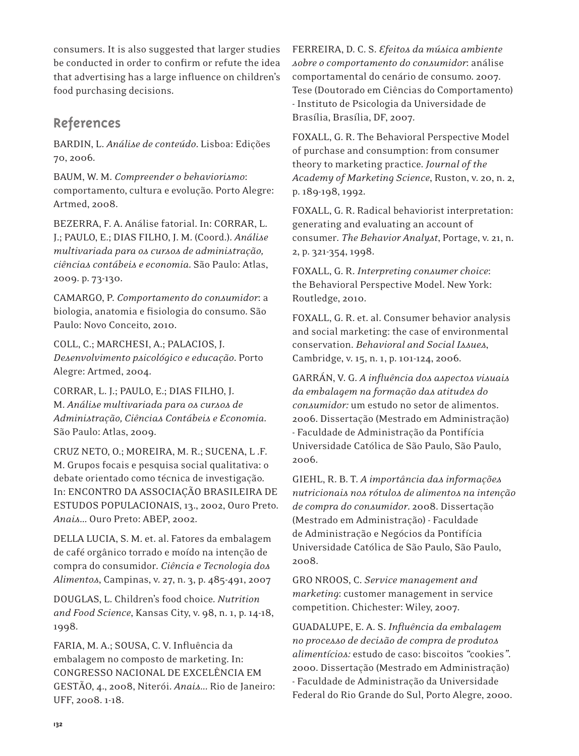consumers. It is also suggested that larger studies be conducted in order to confirm or refute the idea that advertising has a large influence on children's food purchasing decisions.

### **References**

BARDIN, L. *Análise de conteúdo*. Lisboa: Edições 70, 2006.

BAUM, W. M. *Compreender o behaviorismo*: comportamento, cultura e evolução. Porto Alegre: Artmed, 2008.

BEZERRA, F. A. Análise fatorial. In: CORRAR, L. J.; PAULO, E.; DIAS FILHO, J. M. (Coord.). *Análise multivariada para os cursos de administração, ciências contábeis e economia*. São Paulo: Atlas, 2009. p. 73-130.

CAMARGO, P. *Comportamento do consumidor*: a biologia, anatomia e fisiologia do consumo. São Paulo: Novo Conceito, 2010.

COLL, C.; MARCHESI, A.; PALACIOS, J. *Desenvolvimento psicológico e educação*. Porto Alegre: Artmed, 2004.

CORRAR, L. J.; PAULO, E.; DIAS FILHO, J. M. *Análise multivariada para os cursos de Administração, Ciências Contábeis e Economia*. São Paulo: Atlas, 2009.

CRUZ NETO, O.; MOREIRA, M. R.; SUCENA, L .F. M. Grupos focais e pesquisa social qualitativa: o debate orientado como técnica de investigação. In: ENCONTRO DA ASSOCIAÇÃO BRASILEIRA DE ESTUDOS POPULACIONAIS, 13., 2002, Ouro Preto. *Anais*... Ouro Preto: ABEP, 2002.

DELLA LUCIA, S. M. et. al. Fatores da embalagem de café orgânico torrado e moído na intenção de compra do consumidor. *Ciência e Tecnologia dos Alimentos*, Campinas, v. 27, n. 3, p. 485-491, 2007

DOUGLAS, L. Children's food choice. *Nutrition and Food Science*, Kansas City, v. 98, n. 1, p. 14-18, 1998.

FARIA, M. A.; SOUSA, C. V. Influência da embalagem no composto de marketing. In: CONGRESSO NACIONAL DE EXCELÊNCIA EM GESTÃO, 4., 2008, Niterói. *Anais*... Rio de Janeiro: UFF, 2008. 1-18.

FERREIRA, D. C. S. *Efeitos da música ambiente sobre o comportamento do consumidor*: análise comportamental do cenário de consumo. 2007. Tese (Doutorado em Ciências do Comportamento) - Instituto de Psicologia da Universidade de Brasília, Brasília, DF, 2007.

FOXALL, G. R. The Behavioral Perspective Model of purchase and consumption: from consumer theory to marketing practice. *Journal of the Academy of Marketing Science*, Ruston, v. 20, n. 2, p. 189-198, 1992.

FOXALL, G. R. Radical behaviorist interpretation: generating and evaluating an account of consumer. *The Behavior Analyst*, Portage, v. 21, n. 2, p. 321-354, 1998.

FOXALL, G. R. *Interpreting consumer choice*: the Behavioral Perspective Model. New York: Routledge, 2010.

FOXALL, G. R. et. al. Consumer behavior analysis and social marketing: the case of environmental conservation. *Behavioral and Social Issues*, Cambridge, v. 15, n. 1, p. 101-124, 2006.

GARRÁN, V. G. *A influência dos aspectos visuais da embalagem na formação das atitudes do consumidor:* um estudo no setor de alimentos. 2006. Dissertação (Mestrado em Administração) - Faculdade de Administração da Pontifícia Universidade Católica de São Paulo, São Paulo, 2006.

GIEHL, R. B. T. *A importância das informações nutricionais nos rótulos de alimentos na intenção de compra do consumidor*. 2008. Dissertação (Mestrado em Administração) - Faculdade de Administração e Negócios da Pontifícia Universidade Católica de São Paulo, São Paulo, 2008.

GRO NROOS, C. *Service management and marketing*: customer management in service competition. Chichester: Wiley, 2007.

GUADALUPE, E. A. S. *Influência da embalagem no processo de decisão de compra de produtos alimentícios:* estudo de caso: biscoitos *"*cookies*"*. 2000. Dissertação (Mestrado em Administração) - Faculdade de Administração da Universidade Federal do Rio Grande do Sul, Porto Alegre, 2000.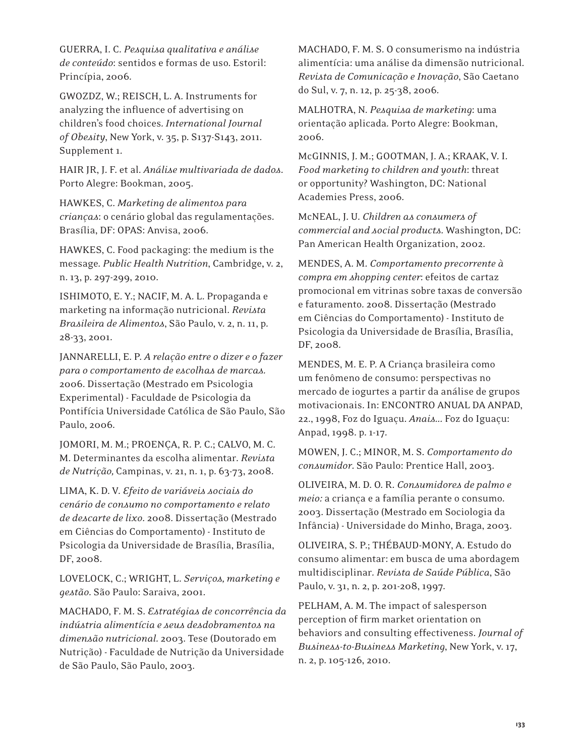GUERRA, I. C. *Pesquisa qualitativa e análise de conteúdo*: sentidos e formas de uso. Estoril: Princípia, 2006.

GWOZDZ, W.; REISCH, L. A. Instruments for analyzing the influence of advertising on children's food choices*. International Journal of Obesity*, New York, v. 35, p. S137-S143, 2011. Supplement 1.

HAIR JR, J. F. et al. *Análise multivariada de dados*. Porto Alegre: Bookman, 2005.

HAWKES, C. *Marketing de alimentos para crianças*: o cenário global das regulamentações. Brasília, DF: OPAS: Anvisa, 2006.

HAWKES, C. Food packaging: the medium is the message. *Public Health Nutrition*, Cambridge**,** v. 2, n. 13, p. 297-299, 2010.

ISHIMOTO, E. Y.; NACIF, M. A. L. Propaganda e marketing na informação nutricional. *Revista Brasileira de Alimentos*, São Paulo, v. 2, n. 11, p. 28-33, 2001.

JANNARELLI, E. P. *A relação entre o dizer e o fazer para o comportamento de escolhas de marcas.* 2006. Dissertação (Mestrado em Psicologia Experimental) - Faculdade de Psicologia da Pontifícia Universidade Católica de São Paulo, São Paulo, 2006.

JOMORI, M. M.; PROENÇA, R. P. C.; CALVO, M. C. M. Determinantes da escolha alimentar. *Revista de Nutrição,* Campinas, v. 21, n. 1, p. 63-73, 2008.

LIMA, K. D. V. *Efeito de variáveis sociais do cenário de consumo no comportamento e relato de descarte de lixo*. 2008. Dissertação (Mestrado em Ciências do Comportamento) - Instituto de Psicologia da Universidade de Brasília, Brasília, DF, 2008.

LOVELOCK, C.; WRIGHT, L. *Serviços, marketing e gestão*. São Paulo: Saraiva, 2001.

MACHADO, F. M. S. *Estratégias de concorrência da indústria alimentícia e seus desdobramentos na dimensão nutricional*. 2003. Tese (Doutorado em Nutrição) - Faculdade de Nutrição da Universidade de São Paulo, São Paulo, 2003.

MACHADO, F. M. S. O consumerismo na indústria alimentícia: uma análise da dimensão nutricional. *Revista de Comunicação e Inovação*, São Caetano do Sul, v. 7, n. 12, p. 25-38, 2006.

MALHOTRA, N. *Pesquisa de marketing*: uma orientação aplicada*.* Porto Alegre: Bookman, 2006.

McGINNIS, J. M.; GOOTMAN, J. A.; KRAAK, V. I. *Food marketing to children and youth*: threat or opportunity? Washington, DC: National Academies Press, 2006.

McNEAL, J. U. *Children as consumers of commercial and social products*. Washington, DC: Pan American Health Organization, 2002.

MENDES, A. M. *Comportamento precorrente à compra em shopping center*: efeitos de cartaz promocional em vitrinas sobre taxas de conversão e faturamento. 2008. Dissertação (Mestrado em Ciências do Comportamento) - Instituto de Psicologia da Universidade de Brasília, Brasília, DF, 2008.

MENDES, M. E. P. A Criança brasileira como um fenômeno de consumo: perspectivas no mercado de iogurtes a partir da análise de grupos motivacionais. In: ENCONTRO ANUAL DA ANPAD, 22., 1998, Foz do Iguaçu. *Anais...* Foz do Iguaçu: Anpad, 1998. p. 1-17.

MOWEN, J. C.; MINOR, M. S. *Comportamento do consumidor*. São Paulo: Prentice Hall, 2003.

OLIVEIRA, M. D. O. R. *Consumidores de palmo e meio:* a criança e a família perante o consumo. 2003. Dissertação (Mestrado em Sociologia da Infância) - Universidade do Minho, Braga, 2003.

OLIVEIRA, S. P.; THÉBAUD-MONY, A. Estudo do consumo alimentar: em busca de uma abordagem multidisciplinar. *Revista de Saúde Pública*, São Paulo, v. 31, n. 2, p. 201-208, 1997.

PELHAM, A. M. The impact of salesperson perception of firm market orientation on behaviors and consulting effectiveness. *Journal of Business-to-Business Marketing*, New York, v. 17, n. 2, p. 105-126, 2010.